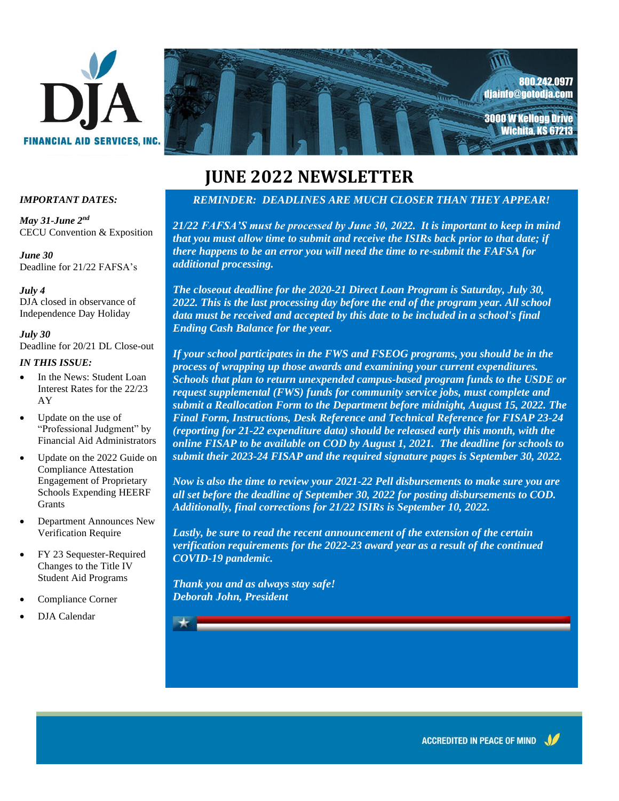



# **JUNE 2022 NEWSLETTER**

#### *IMPORTANT DATES:*

*May 31-June 2nd* CECU Convention & Exposition

*June 30* Deadline for 21/22 FAFSA's

*July 4* DJA closed in observance of Independence Day Holiday

*July 30* Deadline for 20/21 DL Close-out

#### *IN THIS ISSUE:*

- In the News: Student Loan Interest Rates for the 22/23 AY
- Update on the use of "Professional Judgment" by Financial Aid Administrators
- Update on the 2022 Guide on Compliance Attestation Engagement of Proprietary Schools Expending HEERF Grants
- Department Announces New Verification Require
- FY 23 Sequester-Required Changes to the Title IV Student Aid Programs
- Compliance Corner
- DJA Calendar

#### *REMINDER: DEADLINES ARE MUCH CLOSER THAN THEY APPEAR!*

*redditional processing.*<br> *additional processing. 21/22 FAFSA'S must be processed by June 30, 2022. It is important to keep in mind that you must allow time to submit and receive the ISIRs back prior to that date; if there happens to be an error you will need the time to re-submit the FAFSA for* 

*CO22. This is the last processing day before the end of the program year. All school*  $\frac{1}{2}$  and *a control by this data to be included in a school's final warmest wishes for an especially bright and Ending Cash Balance for the year. The closeout deadline for the 2020-21 Direct Loan Program is Saturday, July 30,*  data must be received and accepted by this date to be included in a school's final

*If your school participates in the FWS and FSEOG programs, you should be in the*  $\frac{1}{2}$ *cequest supplemental (FWS) funds for community service jobs, must complete and*  $\overline{R}$ *Have Fun! Final Form, Instructions, Desk Reference and Technical Reference for FISAP 23-24 Deborah John, President submit their 2023-24 FISAP and the required signature pages is September 30, 2022. process of wrapping up those awards and examining your current expenditures. Schools that plan to return unexpended campus-based program funds to the USDE or submit a Reallocation Form to the Department before midnight, August 15, 2022. The (reporting for 21-22 expenditure data) should be released early this month, with the online FISAP to be available on COD by August 1, 2021. The deadline for schools to* 

*Now is also the time to review your 2021-22 Pell disbursements to make sure you are all set before the deadline of September 30, 2022 for posting disbursements to COD. Additionally, final corrections for 21/22 ISIRs is September 10, 2022.* 

*Lastly, be sure to read the recent announcement of the extension of the certain verification requirements for the 2022-23 award year as a result of the continued COVID-19 pandemic.* 

*Thank you and as always stay safe! Deborah John, President*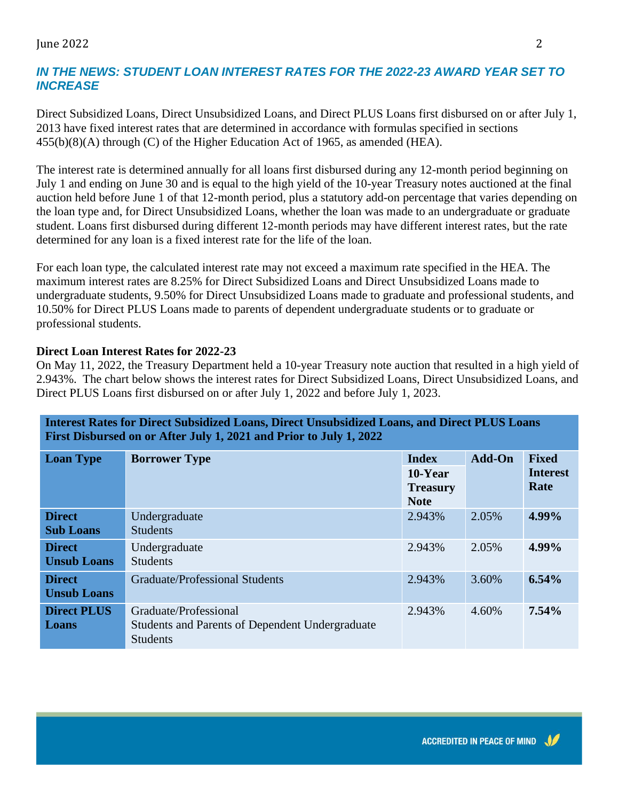#### June 2022 2

### *IN THE NEWS: STUDENT LOAN INTEREST RATES FOR THE 2022-23 AWARD YEAR SET TO INCREASE*

Direct Subsidized Loans, Direct Unsubsidized Loans, and Direct PLUS Loans first disbursed on or after July 1, 2013 have fixed interest rates that are determined in accordance with formulas specified in sections 455(b)(8)(A) through (C) of the Higher Education Act of 1965, as amended (HEA).

The interest rate is determined annually for all loans first disbursed during any 12-month period beginning on July 1 and ending on June 30 and is equal to the high yield of the 10-year Treasury notes auctioned at the final auction held before June 1 of that 12-month period, plus a statutory add-on percentage that varies depending on the loan type and, for Direct Unsubsidized Loans, whether the loan was made to an undergraduate or graduate student. Loans first disbursed during different 12-month periods may have different interest rates, but the rate determined for any loan is a fixed interest rate for the life of the loan.

For each loan type, the calculated interest rate may not exceed a maximum rate specified in the HEA. The maximum interest rates are 8.25% for Direct Subsidized Loans and Direct Unsubsidized Loans made to undergraduate students, 9.50% for Direct Unsubsidized Loans made to graduate and professional students, and 10.50% for Direct PLUS Loans made to parents of dependent undergraduate students or to graduate or professional students.

#### **Direct Loan Interest Rates for 2022-23**

On May 11, 2022, the Treasury Department held a 10-year Treasury note auction that resulted in a high yield of 2.943%. The chart below shows the interest rates for Direct Subsidized Loans, Direct Unsubsidized Loans, and Direct PLUS Loans first disbursed on or after July 1, 2022 and before July 1, 2023.

**Interest Rates for Direct Subsidized Loans, Direct Unsubsidized Loans, and Direct PLUS Loans** 

| First Disbursed on or After July 1, 2021 and Prior to July 1, 2022 |                                                                                                    |                                                              |               |                                         |
|--------------------------------------------------------------------|----------------------------------------------------------------------------------------------------|--------------------------------------------------------------|---------------|-----------------------------------------|
| <b>Loan Type</b>                                                   | <b>Borrower Type</b>                                                                               | <b>Index</b><br>$10$ -Year<br><b>Treasury</b><br><b>Note</b> | <b>Add-On</b> | <b>Fixed</b><br><b>Interest</b><br>Rate |
| <b>Direct</b><br><b>Sub Loans</b>                                  | Undergraduate<br><b>Students</b>                                                                   | 2.943%                                                       | 2.05%         | 4.99%                                   |
| <b>Direct</b><br><b>Unsub Loans</b>                                | Undergraduate<br><b>Students</b>                                                                   | 2.943%                                                       | 2.05%         | 4.99%                                   |
| <b>Direct</b><br><b>Unsub Loans</b>                                | <b>Graduate/Professional Students</b>                                                              | 2.943%                                                       | 3.60%         | 6.54%                                   |
| <b>Direct PLUS</b><br>Loans                                        | Graduate/Professional<br><b>Students and Parents of Dependent Undergraduate</b><br><b>Students</b> | 2.943%                                                       | 4.60%         | 7.54%                                   |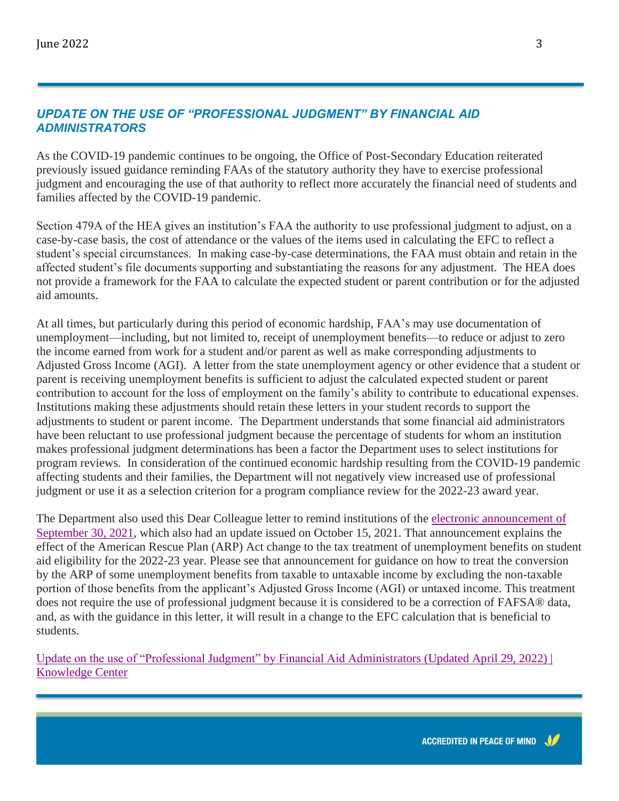#### *UPDATE ON THE USE OF "PROFESSIONAL JUDGMENT" BY FINANCIAL AID ADMINISTRATORS*

As the COVID-19 pandemic continues to be ongoing, the Office of Post-Secondary Education reiterated previously issued guidance reminding FAAs of the statutory authority they have to exercise professional judgment and encouraging the use of that authority to reflect more accurately the financial need of students and families affected by the COVID-19 pandemic.

Section 479A of the HEA gives an institution's FAA the authority to use professional judgment to adjust, on a case-by-case basis, the cost of attendance or the values of the items used in calculating the EFC to reflect a student's special circumstances. In making case-by-case determinations, the FAA must obtain and retain in the affected student's file documents supporting and substantiating the reasons for any adjustment. The HEA does not provide a framework for the FAA to calculate the expected student or parent contribution or for the adjusted aid amounts.

At all times, but particularly during this period of economic hardship, FAA's may use documentation of unemployment—including, but not limited to, receipt of unemployment benefits—to reduce or adjust to zero the income earned from work for a student and/or parent as well as make corresponding adjustments to Adjusted Gross Income (AGI). A letter from the state unemployment agency or other evidence that a student or parent is receiving unemployment benefits is sufficient to adjust the calculated expected student or parent contribution to account for the loss of employment on the family's ability to contribute to educational expenses. Institutions making these adjustments should retain these letters in your student records to support the adjustments to student or parent income. The Department understands that some financial aid administrators have been reluctant to use professional judgment because the percentage of students for whom an institution makes professional judgment determinations has been a factor the Department uses to select institutions for program reviews. In consideration of the continued economic hardship resulting from the COVID-19 pandemic affecting students and their families, the Department will not negatively view increased use of professional judgment or use it as a selection criterion for a program compliance review for the 2022-23 award year.

The Department also used this Dear Colleague letter to remind institutions of the [electronic announcement of](https://fsapartners.ed.gov/knowledge-center/library/electronic-announcements/2021-09-30/impact-american-rescue-plan-change-tax-treatment-unemployment-benefits-student-aid-eligibility-cycle-2022-23-updated-oct-15-2021)  [September 30, 2021,](https://fsapartners.ed.gov/knowledge-center/library/electronic-announcements/2021-09-30/impact-american-rescue-plan-change-tax-treatment-unemployment-benefits-student-aid-eligibility-cycle-2022-23-updated-oct-15-2021) which also had an update issued on October 15, 2021. That announcement explains the effect of the American Rescue Plan (ARP) Act change to the tax treatment of unemployment benefits on student aid eligibility for the 2022-23 year. Please see that announcement for guidance on how to treat the conversion by the ARP of some unemployment benefits from taxable to untaxable income by excluding the non-taxable portion of those benefits from the applicant's Adjusted Gross Income (AGI) or untaxed income. This treatment does not require the use of professional judgment because it is considered to be a correction of FAFSA® data, and, as with the guidance in this letter, it will result in a change to the EFC calculation that is beneficial to students.

[Update on the use of "Professional Judgment" by Financial Aid Administrators \(Updated April 29, 2022\) |](https://fsapartners.ed.gov/knowledge-center/library/dear-colleague-letters/2021-01-29/update-use-professional-judgment-financial-aid-administrators-updated-april-29-2022)  [Knowledge Center](https://fsapartners.ed.gov/knowledge-center/library/dear-colleague-letters/2021-01-29/update-use-professional-judgment-financial-aid-administrators-updated-april-29-2022)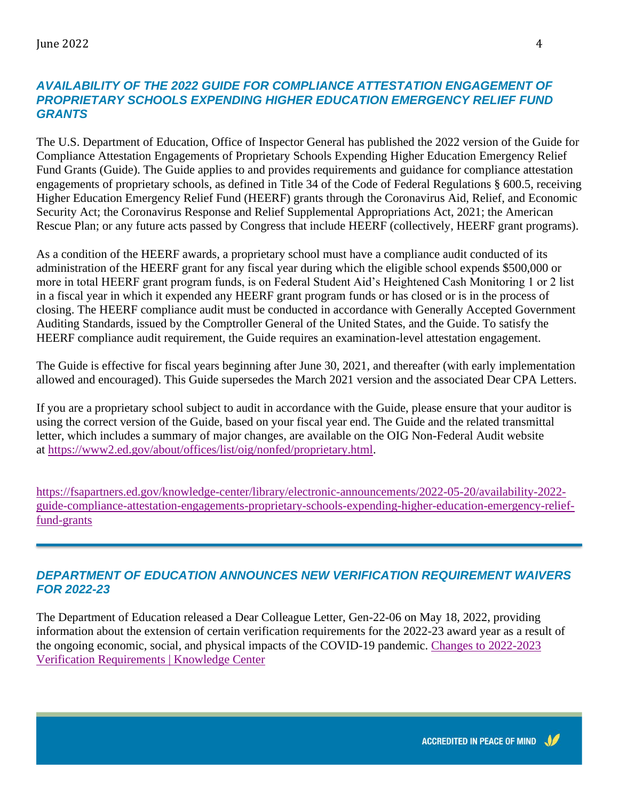#### *AVAILABILITY OF THE 2022 GUIDE FOR COMPLIANCE ATTESTATION ENGAGEMENT OF PROPRIETARY SCHOOLS EXPENDING HIGHER EDUCATION EMERGENCY RELIEF FUND GRANTS*

The U.S. Department of Education, Office of Inspector General has published the 2022 version of the Guide for Compliance Attestation Engagements of Proprietary Schools Expending Higher Education Emergency Relief Fund Grants (Guide). The Guide applies to and provides requirements and guidance for compliance attestation engagements of proprietary schools, as defined in Title 34 of the Code of Federal Regulations § 600.5, receiving Higher Education Emergency Relief Fund (HEERF) grants through the Coronavirus Aid, Relief, and Economic Security Act; the Coronavirus Response and Relief Supplemental Appropriations Act, 2021; the American Rescue Plan; or any future acts passed by Congress that include HEERF (collectively, HEERF grant programs).

As a condition of the HEERF awards, a proprietary school must have a compliance audit conducted of its administration of the HEERF grant for any fiscal year during which the eligible school expends \$500,000 or more in total HEERF grant program funds, is on Federal Student Aid's Heightened Cash Monitoring 1 or 2 list in a fiscal year in which it expended any HEERF grant program funds or has closed or is in the process of closing. The HEERF compliance audit must be conducted in accordance with Generally Accepted Government Auditing Standards, issued by the Comptroller General of the United States, and the Guide. To satisfy the HEERF compliance audit requirement, the Guide requires an examination-level attestation engagement.

The Guide is effective for fiscal years beginning after June 30, 2021, and thereafter (with early implementation allowed and encouraged). This Guide supersedes the March 2021 version and the associated Dear CPA Letters.

If you are a proprietary school subject to audit in accordance with the Guide, please ensure that your auditor is using the correct version of the Guide, based on your fiscal year end. The Guide and the related transmittal letter, which includes a summary of major changes, are available on the OIG Non-Federal Audit website at [https://www2.ed.gov/about/offices/list/oig/nonfed/proprietary.html.](https://www2.ed.gov/about/offices/list/oig/nonfed/proprietary.html)

[https://fsapartners.ed.gov/knowledge-center/library/electronic-announcements/2022-05-20/availability-2022](https://fsapartners.ed.gov/knowledge-center/library/electronic-announcements/2022-05-20/availability-2022-guide-compliance-attestation-engagements-proprietary-schools-expending-higher-education-emergency-relief-fund-grants) [guide-compliance-attestation-engagements-proprietary-schools-expending-higher-education-emergency-relief](https://fsapartners.ed.gov/knowledge-center/library/electronic-announcements/2022-05-20/availability-2022-guide-compliance-attestation-engagements-proprietary-schools-expending-higher-education-emergency-relief-fund-grants)[fund-grants](https://fsapartners.ed.gov/knowledge-center/library/electronic-announcements/2022-05-20/availability-2022-guide-compliance-attestation-engagements-proprietary-schools-expending-higher-education-emergency-relief-fund-grants)

# *DEPARTMENT OF EDUCATION ANNOUNCES NEW VERIFICATION REQUIREMENT WAIVERS FOR 2022-23*

The Department of Education released a Dear Colleague Letter, Gen-22-06 on May 18, 2022, providing information about the extension of certain verification requirements for the 2022-23 award year as a result of the ongoing economic, social, and physical impacts of the COVID-19 pandemic. [Changes to 2022-2023](https://fsapartners.ed.gov/knowledge-center/library/dear-colleague-letters/2022-05-18/changes-2022-2023-verification-requirements)  [Verification Requirements | Knowledge Center](https://fsapartners.ed.gov/knowledge-center/library/dear-colleague-letters/2022-05-18/changes-2022-2023-verification-requirements)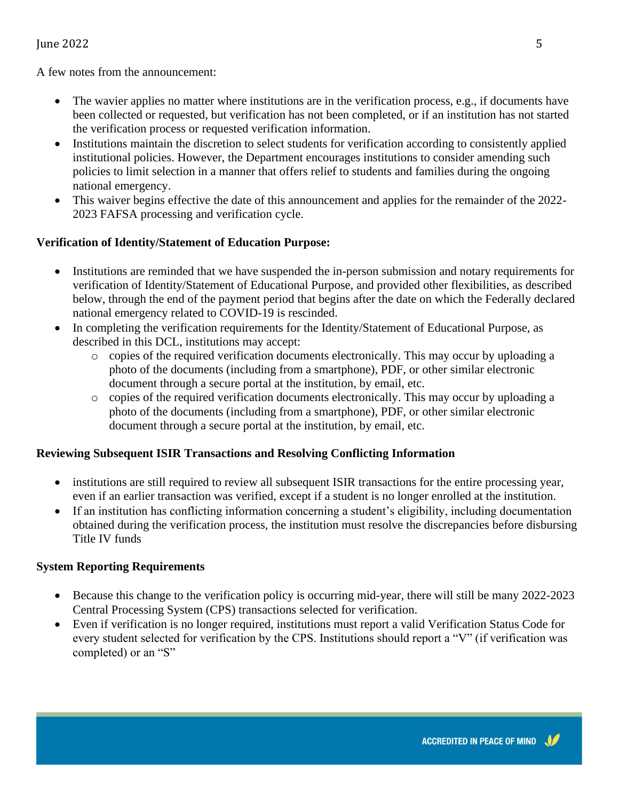#### June 2022  $\sim$  5

A few notes from the announcement:

- The wavier applies no matter where institutions are in the verification process, e.g., if documents have been collected or requested, but verification has not been completed, or if an institution has not started the verification process or requested verification information.
- Institutions maintain the discretion to select students for verification according to consistently applied institutional policies. However, the Department encourages institutions to consider amending such policies to limit selection in a manner that offers relief to students and families during the ongoing national emergency.
- This waiver begins effective the date of this announcement and applies for the remainder of the 2022- 2023 FAFSA processing and verification cycle.

#### **Verification of Identity/Statement of Education Purpose:**

- Institutions are reminded that we have suspended the in-person submission and notary requirements for verification of Identity/Statement of Educational Purpose, and provided other flexibilities, as described below, through the end of the payment period that begins after the date on which the Federally declared national emergency related to COVID-19 is rescinded.
- In completing the verification requirements for the Identity/Statement of Educational Purpose, as described in this DCL, institutions may accept:
	- o copies of the required verification documents electronically. This may occur by uploading a photo of the documents (including from a smartphone), PDF, or other similar electronic document through a secure portal at the institution, by email, etc.
	- o copies of the required verification documents electronically. This may occur by uploading a photo of the documents (including from a smartphone), PDF, or other similar electronic document through a secure portal at the institution, by email, etc.

#### **Reviewing Subsequent ISIR Transactions and Resolving Conflicting Information**

- institutions are still required to review all subsequent ISIR transactions for the entire processing year, even if an earlier transaction was verified, except if a student is no longer enrolled at the institution.
- If an institution has conflicting information concerning a student's eligibility, including documentation obtained during the verification process, the institution must resolve the discrepancies before disbursing Title IV funds

#### **System Reporting Requirements**

- Because this change to the verification policy is occurring mid-year, there will still be many 2022-2023 Central Processing System (CPS) transactions selected for verification.
- Even if verification is no longer required, institutions must report a valid Verification Status Code for every student selected for verification by the CPS. Institutions should report a "V" (if verification was completed) or an "S"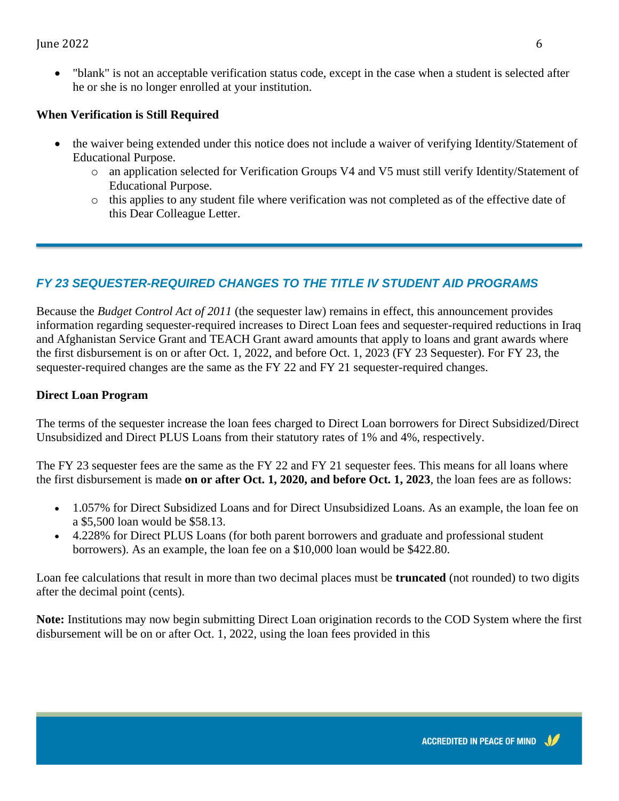• "blank" is not an acceptable verification status code, except in the case when a student is selected after he or she is no longer enrolled at your institution.

### **When Verification is Still Required**

- the waiver being extended under this notice does not include a waiver of verifying Identity/Statement of Educational Purpose.
	- o an application selected for Verification Groups V4 and V5 must still verify Identity/Statement of Educational Purpose.
	- o this applies to any student file where verification was not completed as of the effective date of this Dear Colleague Letter.

# *FY 23 SEQUESTER-REQUIRED CHANGES TO THE TITLE IV STUDENT AID PROGRAMS*

Because the *Budget Control Act of 2011* (the sequester law) remains in effect, this announcement provides information regarding sequester-required increases to Direct Loan fees and sequester-required reductions in Iraq and Afghanistan Service Grant and TEACH Grant award amounts that apply to loans and grant awards where the first disbursement is on or after Oct. 1, 2022, and before Oct. 1, 2023 (FY 23 Sequester). For FY 23, the sequester-required changes are the same as the FY 22 and FY 21 sequester-required changes.

### **Direct Loan Program**

The terms of the sequester increase the loan fees charged to Direct Loan borrowers for Direct Subsidized/Direct Unsubsidized and Direct PLUS Loans from their statutory rates of 1% and 4%, respectively.

The FY 23 sequester fees are the same as the FY 22 and FY 21 sequester fees. This means for all loans where the first disbursement is made **on or after Oct. 1, 2020, and before Oct. 1, 2023**, the loan fees are as follows:

- 1.057% for Direct Subsidized Loans and for Direct Unsubsidized Loans. As an example, the loan fee on a \$5,500 loan would be \$58.13.
- 4.228% for Direct PLUS Loans (for both parent borrowers and graduate and professional student borrowers). As an example, the loan fee on a \$10,000 loan would be \$422.80.

Loan fee calculations that result in more than two decimal places must be **truncated** (not rounded) to two digits after the decimal point (cents).

**Note:** Institutions may now begin submitting Direct Loan origination records to the COD System where the first disbursement will be on or after Oct. 1, 2022, using the loan fees provided in this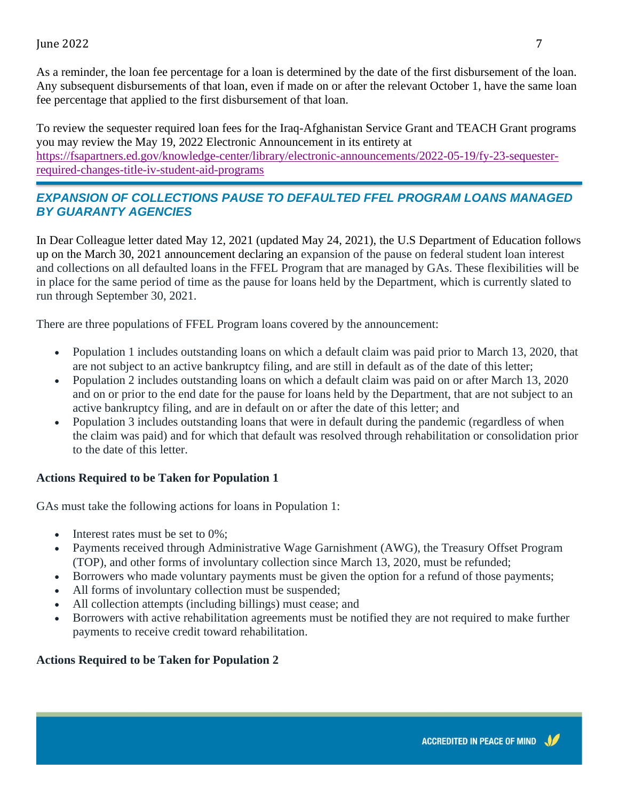As a reminder, the loan fee percentage for a loan is determined by the date of the first disbursement of the loan. Any subsequent disbursements of that loan, even if made on or after the relevant October 1, have the same loan fee percentage that applied to the first disbursement of that loan.

To review the sequester required loan fees for the Iraq-Afghanistan Service Grant and TEACH Grant programs you may review the May 19, 2022 Electronic Announcement in its entirety at [https://fsapartners.ed.gov/knowledge-center/library/electronic-announcements/2022-05-19/fy-23-sequester](https://fsapartners.ed.gov/knowledge-center/library/electronic-announcements/2022-05-19/fy-23-sequester-required-changes-title-iv-student-aid-programs)[required-changes-title-iv-student-aid-programs](https://fsapartners.ed.gov/knowledge-center/library/electronic-announcements/2022-05-19/fy-23-sequester-required-changes-title-iv-student-aid-programs)

# *EXPANSION OF COLLECTIONS PAUSE TO DEFAULTED FFEL PROGRAM LOANS MANAGED BY GUARANTY AGENCIES*

In Dear Colleague letter dated May 12, 2021 (updated May 24, 2021), the U.S Department of Education follows up on the March 30, 2021 announcement declaring an expansion of the pause on federal student loan interest and collections on all defaulted loans in the FFEL Program that are managed by GAs. These flexibilities will be in place for the same period of time as the pause for loans held by the Department, which is currently slated to run through September 30, 2021.

There are three populations of FFEL Program loans covered by the announcement:

- Population 1 includes outstanding loans on which a default claim was paid prior to March 13, 2020, that are not subject to an active bankruptcy filing, and are still in default as of the date of this letter;
- Population 2 includes outstanding loans on which a default claim was paid on or after March 13, 2020 and on or prior to the end date for the pause for loans held by the Department, that are not subject to an active bankruptcy filing, and are in default on or after the date of this letter; and
- Population 3 includes outstanding loans that were in default during the pandemic (regardless of when the claim was paid) and for which that default was resolved through rehabilitation or consolidation prior to the date of this letter.

#### **Actions Required to be Taken for Population 1**

GAs must take the following actions for loans in Population 1:

- Interest rates must be set to 0%;
- Payments received through Administrative Wage Garnishment (AWG), the Treasury Offset Program (TOP), and other forms of involuntary collection since March 13, 2020, must be refunded;
- Borrowers who made voluntary payments must be given the option for a refund of those payments;
- All forms of involuntary collection must be suspended;
- All collection attempts (including billings) must cease; and
- Borrowers with active rehabilitation agreements must be notified they are not required to make further payments to receive credit toward rehabilitation.

#### **Actions Required to be Taken for Population 2**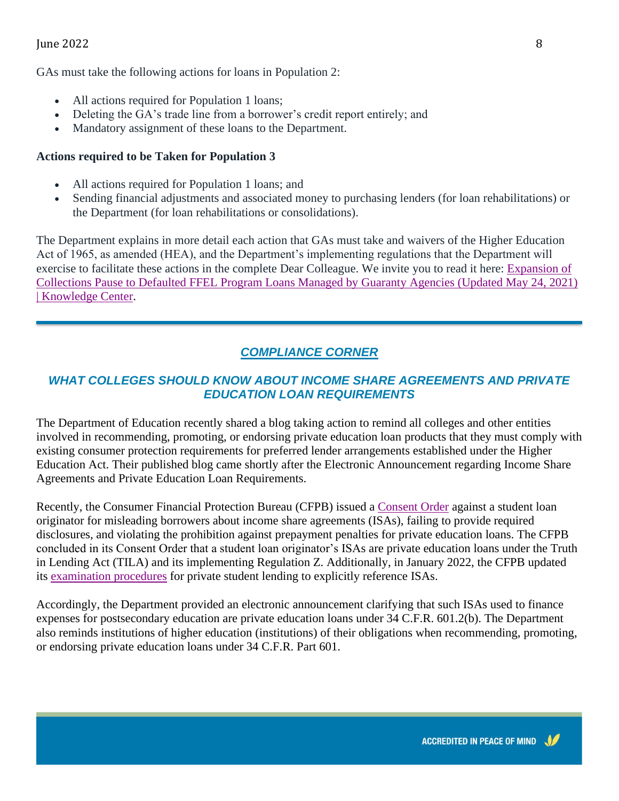#### June 2022 8

GAs must take the following actions for loans in Population 2:

- All actions required for Population 1 loans;
- Deleting the GA's trade line from a borrower's credit report entirely; and
- Mandatory assignment of these loans to the Department.

#### **Actions required to be Taken for Population 3**

- All actions required for Population 1 loans; and
- Sending financial adjustments and associated money to purchasing lenders (for loan rehabilitations) or the Department (for loan rehabilitations or consolidations).

The Department explains in more detail each action that GAs must take and waivers of the Higher Education Act of 1965, as amended (HEA), and the Department's implementing regulations that the Department will exercise to facilitate these actions in the complete Dear Colleague. We invite you to read it here: [Expansion of](https://fsapartners.ed.gov/knowledge-center/library/dear-colleague-letters/2021-05-12/expansion-collections-pause-defaulted-ffel-program-loans-managed-guaranty-agencies-updated-may-24-2021)  [Collections Pause to Defaulted FFEL Program Loans Managed by Guaranty Agencies \(Updated May 24, 2021\)](https://fsapartners.ed.gov/knowledge-center/library/dear-colleague-letters/2021-05-12/expansion-collections-pause-defaulted-ffel-program-loans-managed-guaranty-agencies-updated-may-24-2021)  [| Knowledge Center.](https://fsapartners.ed.gov/knowledge-center/library/dear-colleague-letters/2021-05-12/expansion-collections-pause-defaulted-ffel-program-loans-managed-guaranty-agencies-updated-may-24-2021)

# *COMPLIANCE CORNER*

### *WHAT COLLEGES SHOULD KNOW ABOUT INCOME SHARE AGREEMENTS AND PRIVATE EDUCATION LOAN REQUIREMENTS*

The Department of Education recently shared a blog taking action to remind all colleges and other entities involved in recommending, promoting, or endorsing private education loan products that they must comply with existing consumer protection requirements for preferred lender arrangements established under the Higher Education Act. Their published blog came shortly after the Electronic Announcement regarding Income Share Agreements and Private Education Loan Requirements.

Recently, the Consumer Financial Protection Bureau (CFPB) issued a [Consent Order](https://www.consumerfinance.gov/about-us/newsroom/cfpb-takes-action-against-student-lender-for-misleading-borrowers-about-income-share-agreements/) against a student loan originator for misleading borrowers about income share agreements (ISAs), failing to provide required disclosures, and violating the prohibition against prepayment penalties for private education loans. The CFPB concluded in its Consent Order that a student loan originator's ISAs are private education loans under the Truth in Lending Act (TILA) and its implementing Regulation Z. Additionally, in January 2022, the CFPB updated its [examination procedures](https://files.consumerfinance.gov/f/documents/cfpb_education-loan-servicing-exam-manual_2022-01.pdf) for private student lending to explicitly reference ISAs.

Accordingly, the Department provided an electronic announcement clarifying that such ISAs used to finance expenses for postsecondary education are private education loans under 34 C.F.R. 601.2(b). The Department also reminds institutions of higher education (institutions) of their obligations when recommending, promoting, or endorsing private education loans under 34 C.F.R. Part 601.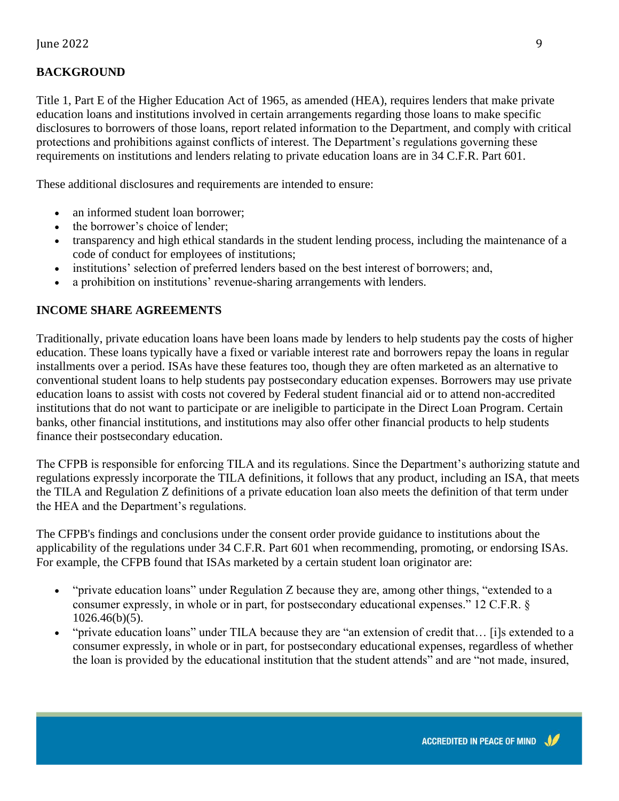#### **BACKGROUND**

Title 1, Part E of the Higher Education Act of 1965, as amended (HEA), requires lenders that make private education loans and institutions involved in certain arrangements regarding those loans to make specific disclosures to borrowers of those loans, report related information to the Department, and comply with critical protections and prohibitions against conflicts of interest. The Department's regulations governing these requirements on institutions and lenders relating to private education loans are in 34 C.F.R. Part 601.

These additional disclosures and requirements are intended to ensure:

- an informed student loan borrower:
- the borrower's choice of lender;
- transparency and high ethical standards in the student lending process, including the maintenance of a code of conduct for employees of institutions;
- institutions' selection of preferred lenders based on the best interest of borrowers; and,
- a prohibition on institutions' revenue-sharing arrangements with lenders.

#### **INCOME SHARE AGREEMENTS**

Traditionally, private education loans have been loans made by lenders to help students pay the costs of higher education. These loans typically have a fixed or variable interest rate and borrowers repay the loans in regular installments over a period. ISAs have these features too, though they are often marketed as an alternative to conventional student loans to help students pay postsecondary education expenses. Borrowers may use private education loans to assist with costs not covered by Federal student financial aid or to attend non-accredited institutions that do not want to participate or are ineligible to participate in the Direct Loan Program. Certain banks, other financial institutions, and institutions may also offer other financial products to help students finance their postsecondary education.

The CFPB is responsible for enforcing TILA and its regulations. Since the Department's authorizing statute and regulations expressly incorporate the TILA definitions, it follows that any product, including an ISA, that meets the TILA and Regulation Z definitions of a private education loan also meets the definition of that term under the HEA and the Department's regulations.

The CFPB's findings and conclusions under the consent order provide guidance to institutions about the applicability of the regulations under 34 C.F.R. Part 601 when recommending, promoting, or endorsing ISAs. For example, the CFPB found that ISAs marketed by a certain student loan originator are:

- "private education loans" under Regulation Z because they are, among other things, "extended to a consumer expressly, in whole or in part, for postsecondary educational expenses." 12 C.F.R. § 1026.46(b)(5).
- "private education loans" under TILA because they are "an extension of credit that… [i]s extended to a consumer expressly, in whole or in part, for postsecondary educational expenses, regardless of whether the loan is provided by the educational institution that the student attends" and are "not made, insured,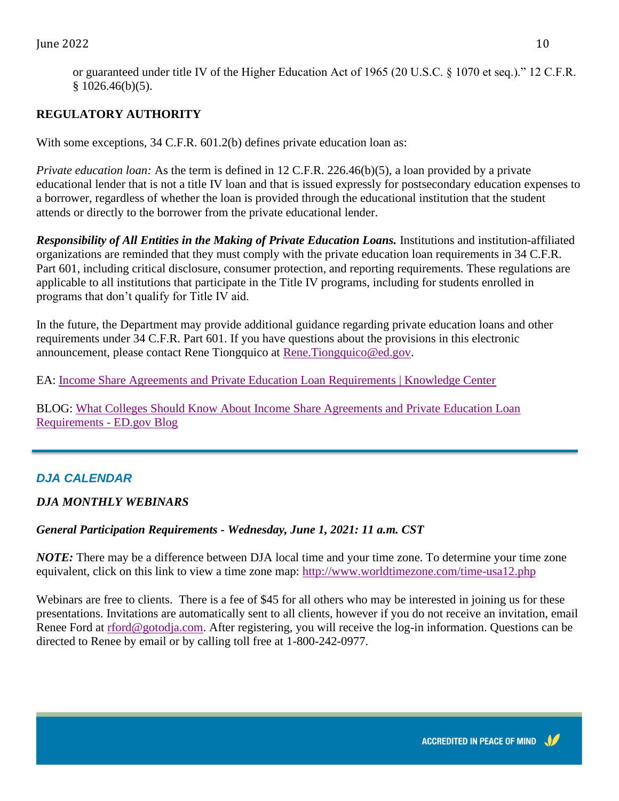or guaranteed under title IV of the Higher Education Act of 1965 (20 U.S.C. § 1070 et seq.)." 12 C.F.R.  $§ 1026.46(b)(5).$ 

# **REGULATORY AUTHORITY**

With some exceptions, 34 C.F.R. 601.2(b) defines private education loan as:

*Private education loan:* As the term is defined in 12 C.F.R. 226.46(b)(5), a loan provided by a private educational lender that is not a title IV loan and that is issued expressly for postsecondary education expenses to a borrower, regardless of whether the loan is provided through the educational institution that the student attends or directly to the borrower from the private educational lender.

*Responsibility of All Entities in the Making of Private Education Loans.* Institutions and institution-affiliated organizations are reminded that they must comply with the private education loan requirements in 34 C.F.R. Part 601, including critical disclosure, consumer protection, and reporting requirements. These regulations are applicable to all institutions that participate in the Title IV programs, including for students enrolled in programs that don't qualify for Title IV aid.

In the future, the Department may provide additional guidance regarding private education loans and other requirements under 34 C.F.R. Part 601. If you have questions about the provisions in this electronic announcement, please contact Rene Tiongquico at [Rene.Tiongquico@ed.gov.](mailto:Rene.Tiongquico@ed.gov)

EA: [Income Share Agreements and Private Education Loan Requirements | Knowledge Center](https://fsapartners.ed.gov/knowledge-center/library/electronic-announcements/2022-03-02/income-share-agreements-and-private-education-loan-requirements)

BLOG: [What Colleges Should Know About Income Share Agreements and Private Education Loan](https://blog.ed.gov/2022/03/what-colleges-should-know-about-income-share-agreements-and-private-education-loan-requirements/)  [Requirements -](https://blog.ed.gov/2022/03/what-colleges-should-know-about-income-share-agreements-and-private-education-loan-requirements/) ED.gov Blog

# *DJA CALENDAR*

### *DJA MONTHLY WEBINARS*

#### *General Participation Requirements - Wednesday, June 1, 2021: 11 a.m. CST*

*NOTE:* There may be a difference between DJA local time and your time zone. To determine your time zone equivalent, click on this link to view a time zone map:<http://www.worldtimezone.com/time-usa12.php>

Webinars are free to clients. There is a fee of \$45 for all others who may be interested in joining us for these presentations. Invitations are automatically sent to all clients, however if you do not receive an invitation, email Renee Ford at [rford@gotodja.com.](mailto:rford@gotodja.com) After registering, you will receive the log-in information. Questions can be directed to Renee by email or by calling toll free at 1-800-242-0977.